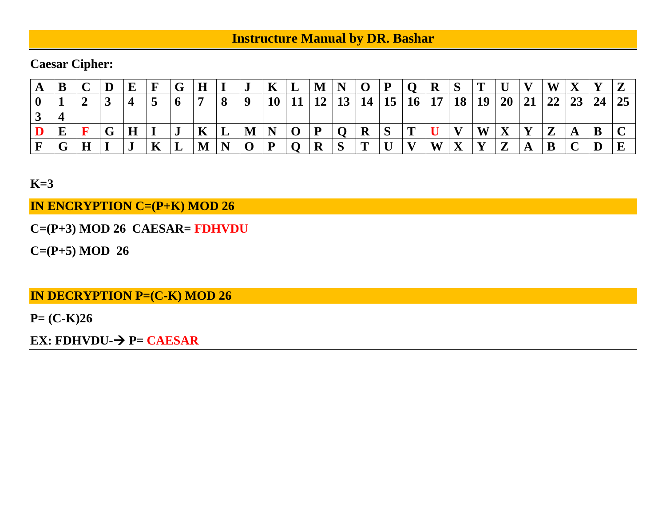## **Instructure Manual by DR. Bashar**

### **Caesar Cipher:**

| A |                    |                          | $\bf E$ | F  | G | H         |   | J | K  | ┻  | M N       |              | $\Omega$ | D                 |           | $\bf R$ | $\mathbf C$ | m            |                              | V7           | W                 | $\mathbf X$ | V  |    |
|---|--------------------|--------------------------|---------|----|---|-----------|---|---|----|----|-----------|--------------|----------|-------------------|-----------|---------|-------------|--------------|------------------------------|--------------|-------------------|-------------|----|----|
|   |                    | ູ                        |         |    | v |           |   |   | 10 | -1 | <b>19</b> | ⊥J           |          |                   | <b>16</b> | 17      | 1 Q<br>lυ   | 19           | <b>20</b>                    | 21           | 22                | 23          | 24 | 25 |
| ◡ |                    |                          |         |    |   |           |   |   |    |    |           |              |          |                   |           |         |             |              |                              |              |                   |             |    |    |
|   | E                  | $\mathbf{C}$<br><b>U</b> | л.      |    | J | A         | ப | M |    |    | D         |              | л        | $\mathbf{C}$<br>N |           |         |             | W            | $\mathbf{x}$<br>$\mathbf{A}$ | $\mathbf{x}$ | $\mathbf{z}$<br>▰ | A           | B  |    |
|   | $\curvearrowright$ |                          | .J      | 17 | ┻ | <b>NI</b> |   |   |    |    | D<br>R    | $\mathbf{C}$ |          |                   |           | W       |             | $\mathbf{v}$ | $\overline{ }$<br>▰          | A            |                   |             | D  |    |

**K=3**

**IN ENCRYPTION C=(P+K) MOD 26**

**C=(P+3) MOD 26 CAESAR= FDHVDU**

**C=(P+5) MOD 26**

**IN DECRYPTION P=(C-K) MOD 26**

**P= (C-K)26**

**EX: FDHVDU-**→ **P= CAESAR**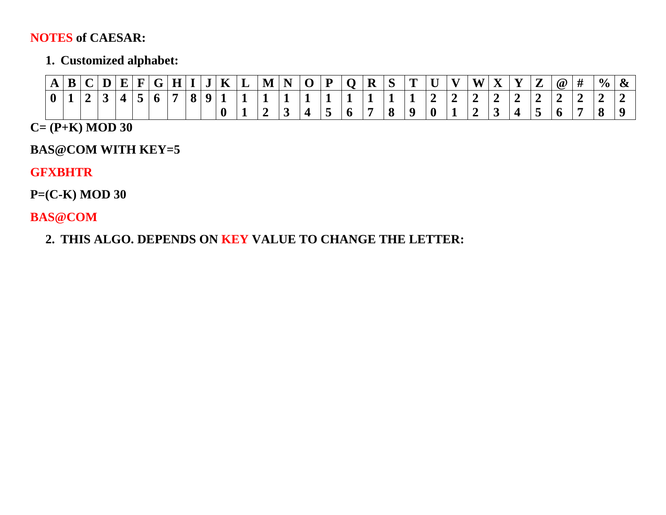#### **NOTES of CAESAR:**

### **1. Customized alphabet:**

| $\mathbf{A}$ | R | $\mathbf{D}$ |  | $\mathbf{C}$ | H <sup>1</sup> | J | $\mathbf{K}$ | ┻ | M | N<br>. . | $\Omega$ | P<br>- | D | $\mathbf C$ | m | — | $\mathbf{V}$ | $T$ $T$<br>w | $-$ | $\mathbf{V}$ | 7<br>∠ | $\bm{Q}$ | # | $\frac{0}{0}$ |  |
|--------------|---|--------------|--|--------------|----------------|---|--------------|---|---|----------|----------|--------|---|-------------|---|---|--------------|--------------|-----|--------------|--------|----------|---|---------------|--|
|              |   |              |  |              |                |   |              |   |   |          |          |        |   |             |   |   | $\equiv$     |              |     |              |        |          |   |               |  |
|              |   |              |  |              |                |   |              |   |   |          |          |        |   | Q<br>О      |   |   |              |              |     |              |        | o        |   |               |  |

### **C= (P+K) MOD 30**

### **BAS@COM WITH KEY=5**

#### **GFXBHTR**

**P=(C-K) MOD 30**

**BAS@COM**

**2. THIS ALGO. DEPENDS ON KEY VALUE TO CHANGE THE LETTER:**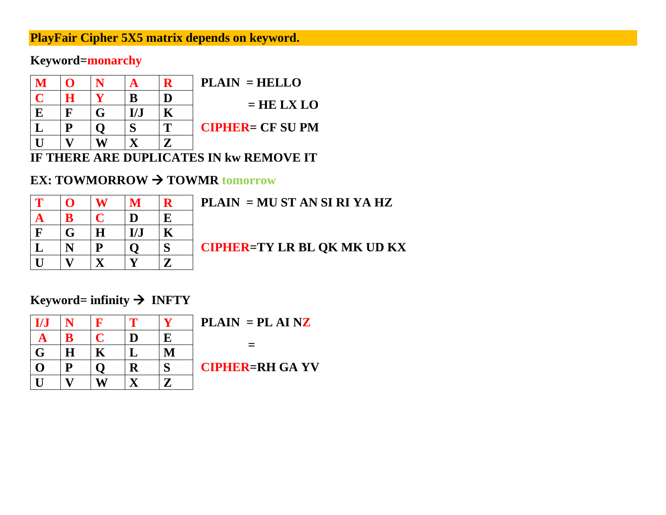### **PlayFair Cipher 5X5 matrix depends on keyword.**

### **Keyword=monarchy**

|   |   |     |   | $PLAIN = HELLO$         |
|---|---|-----|---|-------------------------|
|   | H | B   |   | $= HE LX LO$            |
| E | F | L/I |   |                         |
|   | D |     | Т | <b>CIPHER= CF SU PM</b> |
|   |   |     |   |                         |

### **IF THERE ARE DUPLICATES IN kw REMOVE IT**

### **EX: TOWMORROW → TOWMR tomorrow**

| $\mathbf T$             | Ô                       | W                       | M                       | $\mathbf R$             |
|-------------------------|-------------------------|-------------------------|-------------------------|-------------------------|
| $\mathbf{A}$            | ${\bf B}$               | $\mathbf C$             | $\overline{\mathbf{D}}$ | $\overline{\mathbf{E}}$ |
| $\boxed{\mathrm{F}}$    | $\overline{G}$          | $\overline{\mathbf{H}}$ | I/J                     | $\overline{\mathbf{K}}$ |
| $\overline{\mathbf{L}}$ | $\overline{\mathbf{N}}$ | $\overline{\mathbf{P}}$ | $\overline{Q}$          | S                       |
| U                       | $\overline{\mathbf{V}}$ | $\overline{\mathbf{X}}$ | $\overline{\mathbf{V}}$ | $\mathbf{Z}$            |

**PLAIN = MU ST AN SI RI YA HZ**

**CIPHER=TY LR BL QK MK UD KX**

### **Keyword= infinity**  $\rightarrow$  **<b>INFTY**

| I/J                      |                          | F                       |                         | V            |  |
|--------------------------|--------------------------|-------------------------|-------------------------|--------------|--|
| <u>A</u>                 | $\bf{B}$                 | $\mathbf C$             | D                       | $\mathbf{E}$ |  |
| $\overline{\frac{G}{O}}$ | $\underline{\mathbf{H}}$ | $\overline{\mathbf{K}}$ | $\mathbf L$             | $\mathbf{M}$ |  |
|                          | ${\bf P}$                | $\mathbf{Q}$            | $\overline{\mathbf{R}}$ | S            |  |
| $\overline{U}$           | $\overline{\mathbf{V}}$  | $\overline{\textbf{W}}$ | $\overline{\mathbf{X}}$ | $\mathbf{Z}$ |  |

**PLAIN = PL AI NZ**

 **=** 

**CIPHER=RH GA YV**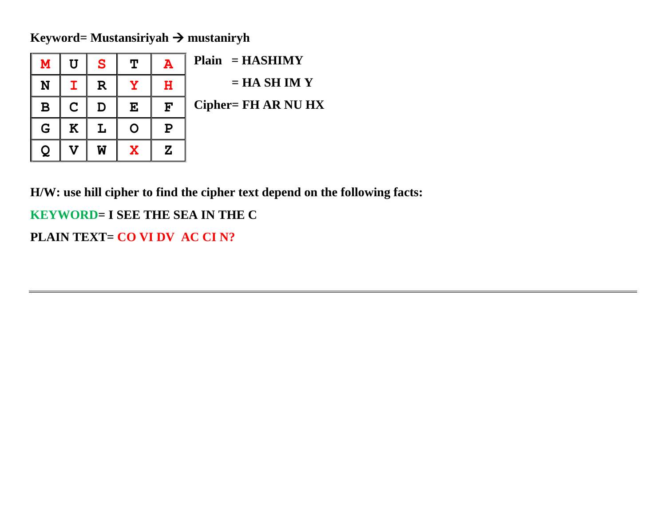**Keyword= Mustansiriyah** → **mustaniryh**

| M | ΤT          | S           | $\mathbf T$  | $\mathbf{A}$ | $Plain = HASHIMY$          |
|---|-------------|-------------|--------------|--------------|----------------------------|
| N |             | $\mathbf R$ |              | н            | $= HA SHIMY$               |
| в | $\mathbf C$ | D           | E            | $\mathbf{F}$ | <b>Cipher= FH AR NU HX</b> |
| G | K           |             |              | Р            |                            |
|   |             | W           | $\mathbf{x}$ | Z            |                            |

**H/W: use hill cipher to find the cipher text depend on the following facts:**

**KEYWORD= I SEE THE SEA IN THE C**

**PLAIN TEXT= CO VI DV AC CI N?**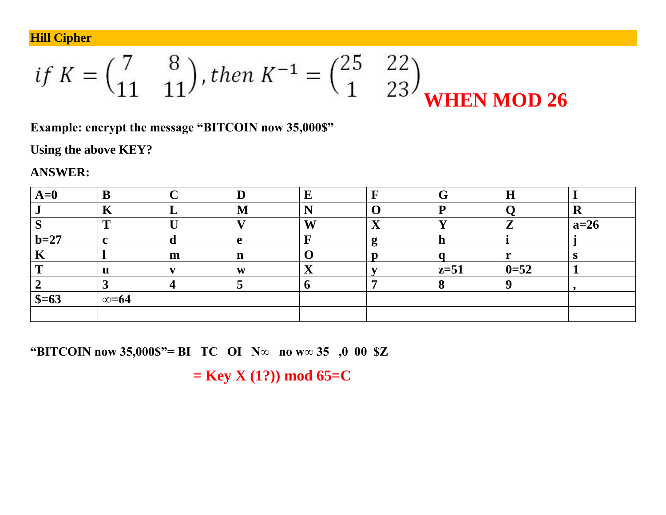**Hill Cipher** 

if 
$$
K = \begin{pmatrix} 7 & 8 \\ 11 & 11 \end{pmatrix}
$$
, then  $K^{-1} = \begin{pmatrix} 25 & 22 \\ 1 & 23 \end{pmatrix}$ **WHEN MOD 26**

Example: encrypt the message "BITCOIN now 35,000\$"

Using the above KEY?

**ANSWER:** 

| $A=0$             |               |   |             | Е                      |                    |        | $\bf H$  |        |
|-------------------|---------------|---|-------------|------------------------|--------------------|--------|----------|--------|
|                   | .<br>77       |   | M           | N                      |                    |        |          | K      |
|                   | m             |   |             | W                      | $\mathbf{x}$<br>∡ъ |        | ▰        | $a=26$ |
| $b=27$            |               |   | e           |                        | о<br>∍             |        |          |        |
| $\mathbf{r}$<br>V |               | m | $\mathbf n$ |                        |                    |        |          |        |
|                   | u             |   | W           | $\boldsymbol{\Lambda}$ |                    | $z=51$ | $0 = 52$ |        |
|                   |               |   | ഄ           |                        |                    |        |          |        |
| $$=63$            | $\infty = 64$ |   |             |                        |                    |        |          |        |
|                   |               |   |             |                        |                    |        |          |        |

"BITCOIN now 35,000\$"= BI TC OI N $\infty$  no w $\infty$  35 ,0 00 \$Z

 $=$  Key X (1?)) mod 65=C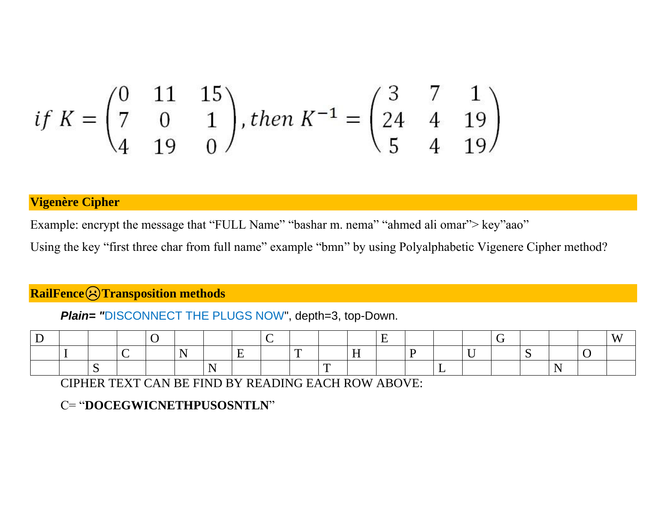$$
if K = \begin{pmatrix} 0 & 11 & 15 \\ 7 & 0 & 1 \\ 4 & 19 & 0 \end{pmatrix}, then K^{-1} = \begin{pmatrix} 3 & 7 & 1 \\ 24 & 4 & 19 \\ 5 & 4 & 19 \end{pmatrix}
$$

#### **Vigenère Cipher**

Example: encrypt the message that "FULL Name" "bashar m. nema" "ahmed ali omar"> key"aao"

Using the key "first three char from full name" example "bmn" by using Polyalphabetic Vigenere Cipher method?

### **RailFence Transposition methods**

*Plain= "*DISCONNECT THE PLUGS NOW", depth=3, top-Down.

CIPHER TEXT CAN BE FIND BY READING EACH ROW ABOVE:

#### C= "**DOCEGWICNETHPUSOSNTLN**"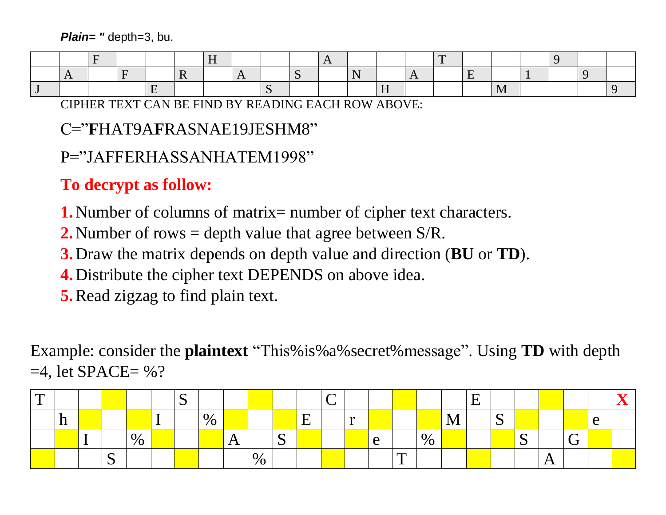*Plain= "* depth=3, bu.

CIPHER TEXT CAN BE FIND BY READING EACH ROW ABOVE:

### C="**F**HAT9A**F**RASNAE19JESHM8"

# P="JAFFERHASSANHATEM1998"

# **To decrypt as follow:**

- **1.** Number of columns of matrix= number of cipher text characters.
- **2.** Number of rows = depth value that agree between S/R.
- **3.** Draw the matrix depends on depth value and direction (**BU** or **TD**).
- **4.** Distribute the cipher text DEPENDS on above idea.
- **5.**Read zigzag to find plain text.

Example: consider the **plaintext** "This%is%a%secret%message". Using **TD** with depth  $=4$ , let SPACE $=$  %?

| $\mathbf \tau$<br>- |     |             |      |                                    | $\sim$<br>◡ |      |      |             |                                |  |   |                          |      |            | ┳<br>- |             |             |   |        |               | ra s |
|---------------------|-----|-------------|------|------------------------------------|-------------|------|------|-------------|--------------------------------|--|---|--------------------------|------|------------|--------|-------------|-------------|---|--------|---------------|------|
|                     | TT. |             |      | $\sim$<br>$\overline{\phantom{a}}$ |             | $\%$ |      |             | $\boldsymbol{\mathrm{E}}$<br>▃ |  |   |                          |      | <b>TAT</b> |        | $\sim$<br>ັ |             |   |        | $\Delta$<br>╰ |      |
|                     |     |             | $\%$ |                                    |             |      |      | $\sim$<br>ັ |                                |  | e |                          | $\%$ |            |        |             | $\sim$<br>N |   | $\sim$ |               |      |
|                     |     | $\sim$<br>N |      |                                    |             |      | $\%$ |             |                                |  |   | $\mathbf{r}$<br><b>A</b> |      |            |        |             |             | A |        |               |      |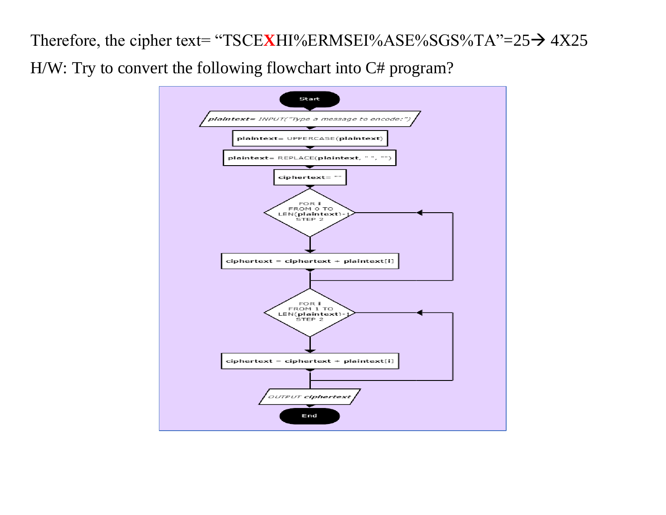Therefore, the cipher text= "TSCE**X**HI%ERMSEI%ASE%SGS%TA"=25→ 4X25 H/W: Try to convert the following flowchart into C# program?

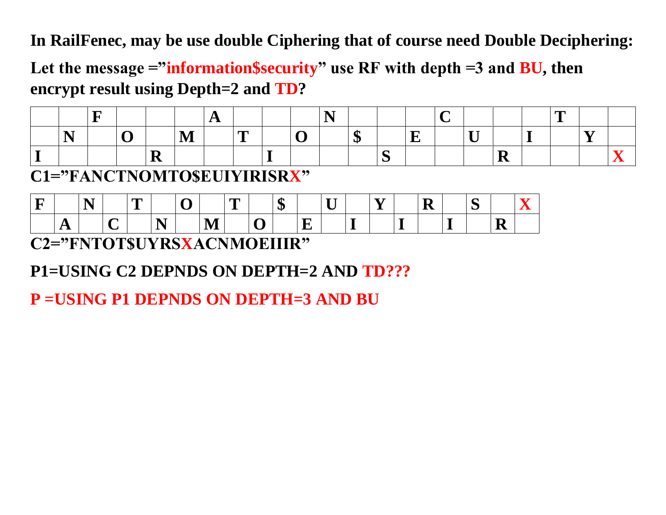**In RailFenec, may be use double Ciphering that of course need Double Deciphering:**

Let the message ="information\$security" use RF with depth =3 and **BU**, then **encrypt result using Depth=2 and TD?**

|  |  |  |   |  |         |  |     |  | ~ |  |
|--|--|--|---|--|---------|--|-----|--|---|--|
|  |  |  | 一 |  | 4<br>٨D |  | - - |  |   |  |
|  |  |  |   |  |         |  |     |  |   |  |

**C1="FANCTNOMTO\$EUIYIRISRX"**

| ┳ |                      | ×<br><b>.</b> |                  | m<br>- | v |          | <b>The Second</b><br><u>_</u> |   | $\sqrt{2}$<br>AD. | $ -$<br>∼ | --<br>_ | V | -<br>ັ |   |  |
|---|----------------------|---------------|------------------|--------|---|----------|-------------------------------|---|-------------------|-----------|---------|---|--------|---|--|
|   | л<br>. .<br>$\Gamma$ |               | ~<br>$\check{ }$ |        |   | N /<br>. |                               | 〜 |                   |           |         |   |        | - |  |

**C2="FNTOT\$UYRSXACNMOEIIIR"**

**P1=USING C2 DEPNDS ON DEPTH=2 AND TD???**

**P =USING P1 DEPNDS ON DEPTH=3 AND BU**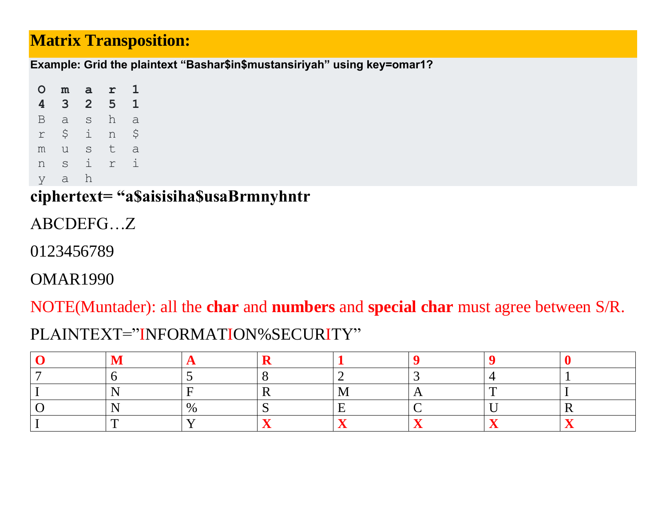## **Matrix Transposition:**

Example: Grid the plaintext "Bashar\$in\$mustansiriyah" using key=omar1?

 $\mathbf{1}$  $\mathbf{O}$  $m$  $\mathbf{a}$  $\mathbf{r}$  $3\quad 2\quad 5\quad 1$  $\overline{4}$ a sh a  $\mathbf{B}$  $\sin 5$  $\Upsilon$ usta m i r i S n  $\alpha$ h y

ciphertext= "a\$aisisiha\$usaBrmnyhntr

ABCDEFG...Z

0123456789

**OMAR1990** 

NOTE(Muntader): all the char and numbers and special char must agree between S/R.

## PLAINTEXT="INFORMATION%SECURITY"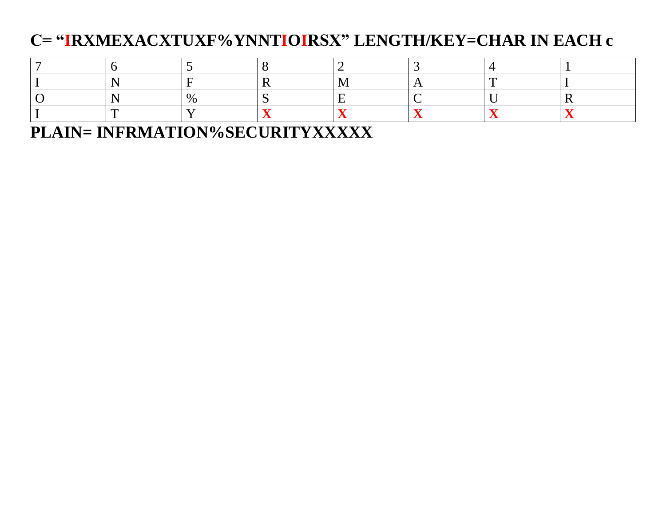# C= "IRXMEXACXTUXF%YNNTIOIRSX" LENGTH/KEY=CHAR IN EACH c

**PLAIN= INFRMATION%SECURITYXXXXX**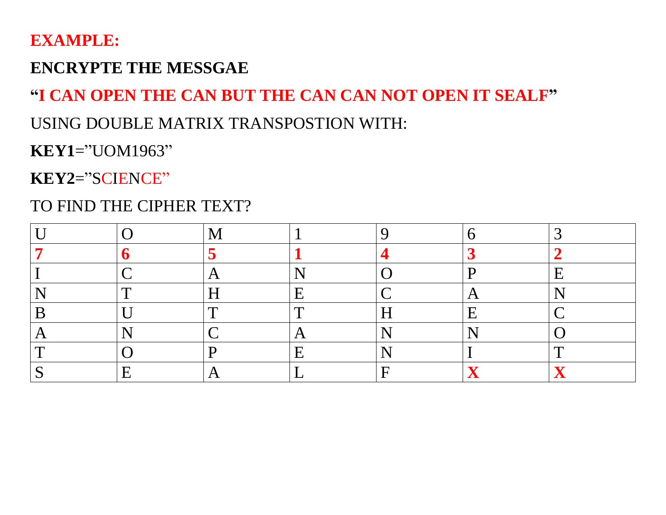## **EXAMPLE:**

## **ENCRYPTE THE MESSGAE**

# **"I CAN OPEN THE CAN BUT THE CAN CAN NOT OPEN IT SEALF"**

## USING DOUBLE MATRIX TRANSPOSTION WITH:

# **KEY1**= "UOM1963"

**KEY2**= "SCIENCE"

# TO FIND THE CIPHER TEXT?

|                          |   |     |  | . .<br><u>r</u><br>. . |
|--------------------------|---|-----|--|------------------------|
| $\overline{\phantom{a}}$ |   |     |  |                        |
|                          | œ | ┱   |  |                        |
|                          |   | 1 J |  |                        |
|                          |   |     |  | ┱┓                     |
|                          |   |     |  |                        |